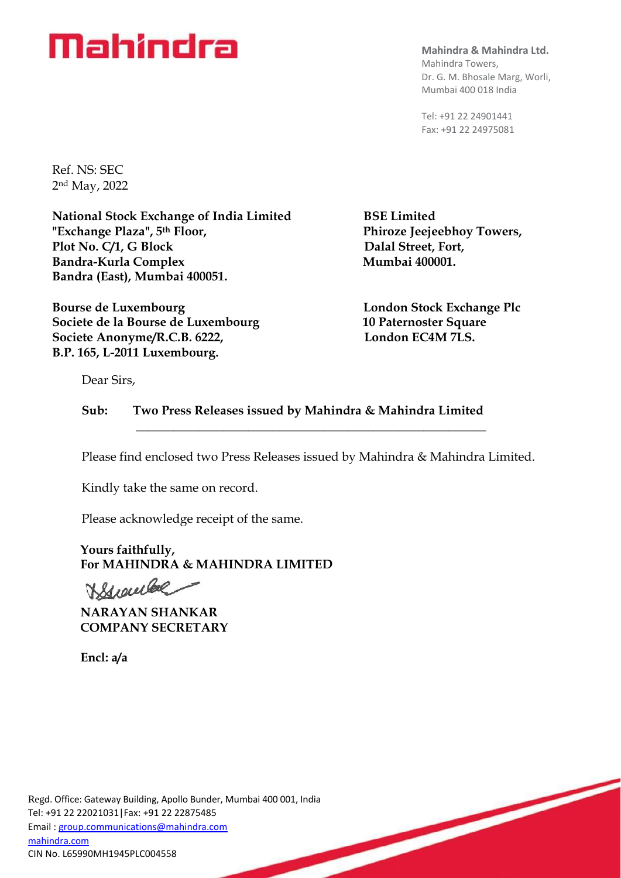# **Mahindra**

**Mahindra & Mahindra Ltd.**  Mahindra Towers, Dr. G. M. Bhosale Marg, Worli, Mumbai 400 018 India

Tel: +91 22 24901441 Fax: +91 22 24975081

Ref. NS: SEC 2nd May, 2022

**National Stock Exchange of India Limited BSE Limited "Exchange Plaza", 5th Floor, Phiroze Jeejeebhoy Towers,** Plot No. C/1, G Block Dalal Street, Fort, Bandra-Kurla Complex Mumbai 400001. **Bandra (East), Mumbai 400051.**

**Bourse de Luxembourg London Stock Exchange Plc Societe de la Bourse de Luxembourg 10 Paternoster Square** Societe Anonyme/R.C.B. 6222, London EC4M 7LS. **B.P. 165, L-2011 Luxembourg.**

Dear Sirs,

**Sub: Two Press Releases issued by Mahindra & Mahindra Limited \_\_\_\_\_\_\_\_\_\_\_\_\_\_\_\_\_\_\_\_\_\_\_\_\_\_\_\_\_\_\_\_\_\_\_\_\_\_\_\_\_\_\_\_\_\_\_\_\_\_\_\_\_\_\_\_**

Please find enclosed two Press Releases issued by Mahindra & Mahindra Limited.

Kindly take the same on record.

Please acknowledge receipt of the same.

 **Yours faithfully, For MAHINDRA & MAHINDRA LIMITED** 

Krowled

 **NARAYAN SHANKAR COMPANY SECRETARY** 

 **Encl: a/a**

Regd. Office: Gateway Building, Apollo Bunder, Mumbai 400 001, India Tel: +91 22 22021031|Fax: +91 22 22875485 Email [: group.communications@mahindra.com](mailto:group.communications@mahindra.com) [mahindra.com](http://mahindra.com/) CIN No. L65990MH1945PLC004558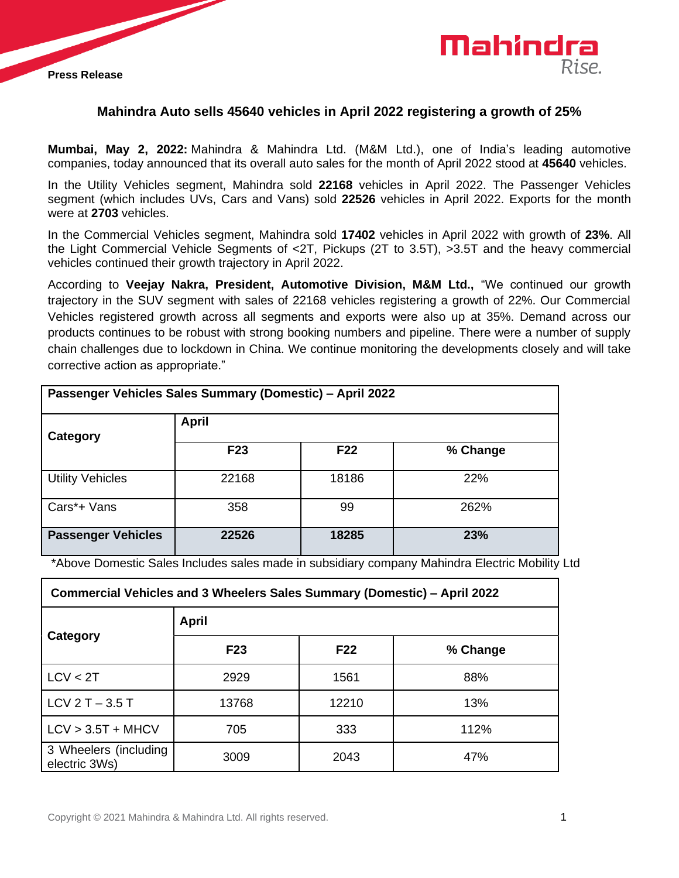



# **Mahindra Auto sells 45640 vehicles in April 2022 registering a growth of 25%**

**Mumbai, May 2, 2022:** Mahindra & Mahindra Ltd. (M&M Ltd.), one of India's leading automotive companies, today announced that its overall auto sales for the month of April 2022 stood at **45640** vehicles.

In the Utility Vehicles segment, Mahindra sold **22168** vehicles in April 2022. The Passenger Vehicles segment (which includes UVs, Cars and Vans) sold **22526** vehicles in April 2022. Exports for the month were at **2703** vehicles.

In the Commercial Vehicles segment, Mahindra sold **17402** vehicles in April 2022 with growth of **23%**. All the Light Commercial Vehicle Segments of <2T, Pickups (2T to 3.5T), >3.5T and the heavy commercial vehicles continued their growth trajectory in April 2022.

According to **Veejay Nakra, President, Automotive Division, M&M Ltd.,** "We continued our growth trajectory in the SUV segment with sales of 22168 vehicles registering a growth of 22%. Our Commercial Vehicles registered growth across all segments and exports were also up at 35%. Demand across our products continues to be robust with strong booking numbers and pipeline. There were a number of supply chain challenges due to lockdown in China. We continue monitoring the developments closely and will take corrective action as appropriate."

| Passenger Vehicles Sales Summary (Domestic) - April 2022 |                 |                 |          |  |  |
|----------------------------------------------------------|-----------------|-----------------|----------|--|--|
| Category                                                 | <b>April</b>    |                 |          |  |  |
|                                                          | F <sub>23</sub> | F <sub>22</sub> | % Change |  |  |
| <b>Utility Vehicles</b>                                  | 22168           | 18186           | 22%      |  |  |
| Cars*+ Vans                                              | 358             | 99              | 262%     |  |  |
| <b>Passenger Vehicles</b>                                | 22526           | 18285           | 23%      |  |  |

\*Above Domestic Sales Includes sales made in subsidiary company Mahindra Electric Mobility Ltd

| Commercial Vehicles and 3 Wheelers Sales Summary (Domestic) – April 2022 |                 |            |          |  |  |
|--------------------------------------------------------------------------|-----------------|------------|----------|--|--|
| Category                                                                 | April           |            |          |  |  |
|                                                                          | F <sub>23</sub> | <b>F22</b> | % Change |  |  |
| LCV < 2T                                                                 | 2929            | 1561       | 88%      |  |  |
| LCV $2T - 3.5T$                                                          | 13768           | 12210      | 13%      |  |  |
| $LCV > 3.5T + MHCV$                                                      | 705             | 333        | 112%     |  |  |
| 3 Wheelers (including<br>electric 3Ws)                                   | 3009            | 2043       | 47%      |  |  |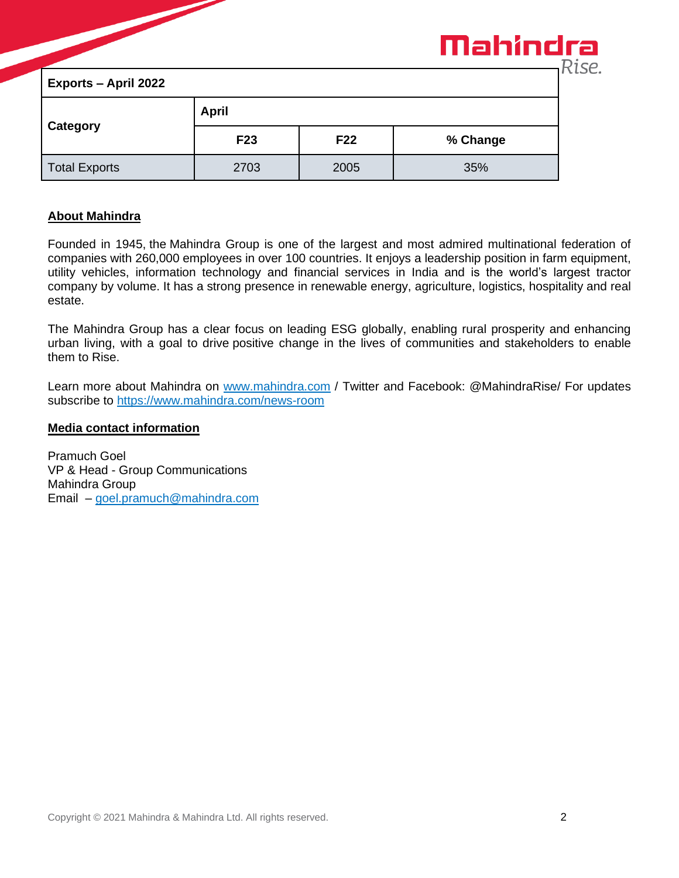|                             |              |                 | Mahindra | Rise. |
|-----------------------------|--------------|-----------------|----------|-------|
| <b>Exports - April 2022</b> |              |                 |          |       |
| Category                    | <b>April</b> |                 |          |       |
|                             | <b>F23</b>   | F <sub>22</sub> | % Change |       |
| <b>Total Exports</b>        | 2703         | 2005            | 35%      |       |

# **About Mahindra**

Founded in 1945, the Mahindra Group is one of the largest and most admired multinational federation of companies with 260,000 employees in over 100 countries. It enjoys a leadership position in farm equipment, utility vehicles, information technology and financial services in India and is the world's largest tractor company by volume. It has a strong presence in renewable energy, agriculture, logistics, hospitality and real estate.

The Mahindra Group has a clear focus on leading ESG globally, enabling rural prosperity and enhancing urban living, with a goal to drive positive change in the lives of communities and stakeholders to enable them to Rise.

Learn more about Mahindra on [www.mahindra.com](http://www.mahindra.com/) / Twitter and Facebook: @MahindraRise/ For updates subscribe to<https://www.mahindra.com/news-room>

#### **Media contact information**

Pramuch Goel VP & Head - Group Communications Mahindra Group Email – [goel.pramuch@mahindra.com](mailto:goel.pramuch@mahindra.com)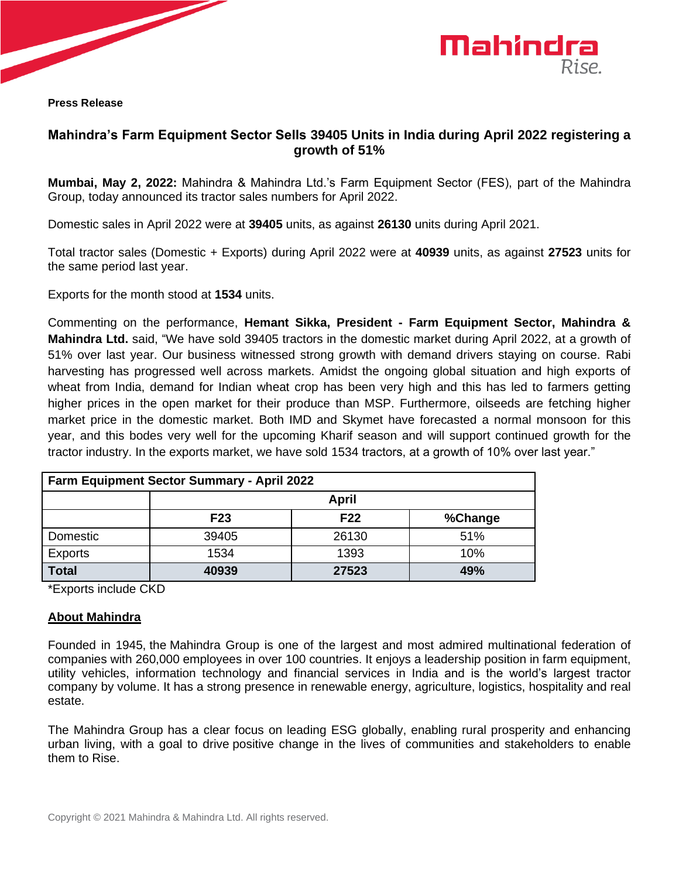

**Press Release** 



# **Mahindra's Farm Equipment Sector Sells 39405 Units in India during April 2022 registering a growth of 51%**

**Mumbai, May 2, 2022:** Mahindra & Mahindra Ltd.'s Farm Equipment Sector (FES), part of the Mahindra Group, today announced its tractor sales numbers for April 2022.

Domestic sales in April 2022 were at **39405** units, as against **26130** units during April 2021.

Total tractor sales (Domestic + Exports) during April 2022 were at **40939** units, as against **27523** units for the same period last year.

Exports for the month stood at **1534** units.

Commenting on the performance, **Hemant Sikka, President - Farm Equipment Sector, Mahindra & Mahindra Ltd.** said, "We have sold 39405 tractors in the domestic market during April 2022, at a growth of 51% over last year. Our business witnessed strong growth with demand drivers staying on course. Rabi harvesting has progressed well across markets. Amidst the ongoing global situation and high exports of wheat from India, demand for Indian wheat crop has been very high and this has led to farmers getting higher prices in the open market for their produce than MSP. Furthermore, oilseeds are fetching higher market price in the domestic market. Both IMD and Skymet have forecasted a normal monsoon for this year, and this bodes very well for the upcoming Kharif season and will support continued growth for the tractor industry. In the exports market, we have sold 1534 tractors, at a growth of 10% over last year."

| <b>Farm Equipment Sector Summary - April 2022</b> |                 |                 |         |  |  |  |
|---------------------------------------------------|-----------------|-----------------|---------|--|--|--|
|                                                   | <b>April</b>    |                 |         |  |  |  |
|                                                   | F <sub>23</sub> | F <sub>22</sub> | %Change |  |  |  |
| Domestic                                          | 39405           | 26130           | 51%     |  |  |  |
| Exports                                           | 1534            | 1393            | 10%     |  |  |  |
| <b>Total</b>                                      | 40939           | 27523           | 49%     |  |  |  |

\*Exports include CKD

### **About Mahindra**

Founded in 1945, the Mahindra Group is one of the largest and most admired multinational federation of companies with 260,000 employees in over 100 countries. It enjoys a leadership position in farm equipment, utility vehicles, information technology and financial services in India and is the world's largest tractor company by volume. It has a strong presence in renewable energy, agriculture, logistics, hospitality and real estate.

The Mahindra Group has a clear focus on leading ESG globally, enabling rural prosperity and enhancing urban living, with a goal to drive positive change in the lives of communities and stakeholders to enable them to Rise.